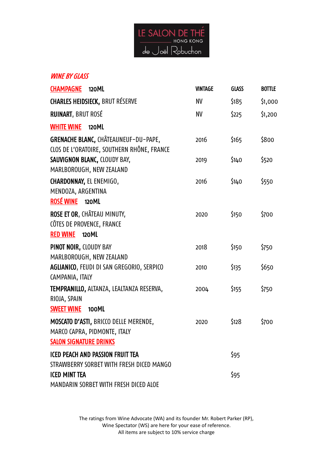

## **WINE BY GLASS**

| <b>CHAMPAGNE</b><br>120ML                                                                              | <b>VINTAGE</b> | <b>GLASS</b> | <b>BOTTLE</b> |
|--------------------------------------------------------------------------------------------------------|----------------|--------------|---------------|
| <b>CHARLES HEIDSIECK, BRUT RÉSERVE</b>                                                                 | <b>NV</b>      | \$185        | \$1,000       |
| <b>RUINART, BRUT ROSÉ</b>                                                                              | <b>NV</b>      | \$225        | \$1,200       |
| <b>WHITE WINE</b><br>120ML                                                                             |                |              |               |
| <b>GRENACHE BLANC, CHÂTEAUNEUF-DU-PAPE,</b><br>CLOS DE L'ORATOIRE, SOUTHERN RHÔNE, FRANCE              | 2016           | \$165        | \$800         |
| SAUVIGNON BLANC, CLOUDY BAY,<br>MARLBOROUGH, NEW ZEALAND                                               | 2019           | \$140        | \$520         |
| CHARDONNAY, EL ENEMIGO,<br>MENDOZA, ARGENTINA<br><b>ROSÉ WINE</b><br>120ML                             | 2016           | \$140        | \$550         |
| ROSE ET OR, CHÂTEAU MINUTY,<br>CÔTES DE PROVENCE, FRANCE<br><b>RED WINE</b><br>120ML                   | 2020           | \$150        | \$700         |
| PINOT NOIR, CLOUDY BAY<br>MARLBOROUGH, NEW ZEALAND                                                     | 2018           | \$150        | \$750         |
| AGLIANICO, FEUDI DI SAN GREGORIO, SERPICO<br>CAMPANIA, ITALY                                           | 2010           | \$135        | \$650         |
| TEMPRANILLO, ALTANZA, LEALTANZA RESERVA,<br>RIOJA, SPAIN<br><b>SWEET WINE</b><br>100ML                 | 2004           | \$155        | \$750         |
| MOSCATO D'ASTI, BRICCO DELLE MERENDE,<br>MARCO CAPRA, PIDMONTE, ITALY<br><b>SALON SIGNATURE DRINKS</b> | 2020           | \$128        | \$700         |
| <b>ICED PEACH AND PASSION FRUIT TEA</b><br>STRAWBERRY SORBET WITH FRESH DICED MANGO                    |                | \$95         |               |
| <b>ICED MINT TEA</b><br>MANDARIN SORBET WITH FRESH DICED ALOE                                          |                | \$95         |               |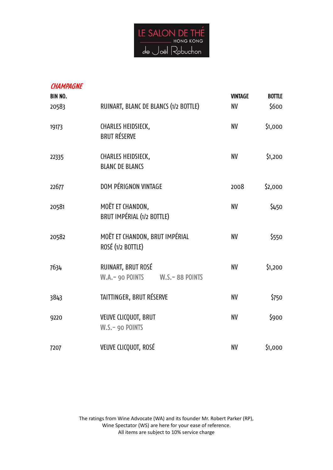

| <b>CHAMPAGNE</b><br>BIN NO.<br>20583 | RUINART, BLANC DE BLANCS (1/2 BOTTLE)                             | <b>VINTAGE</b><br><b>NV</b> | <b>BOTTLE</b><br>\$600 |
|--------------------------------------|-------------------------------------------------------------------|-----------------------------|------------------------|
| 19173                                | CHARLES HEIDSIECK,<br><b>BRUT RÉSERVE</b>                         | <b>NV</b>                   | \$1,000                |
| 22335                                | CHARLES HEIDSIECK,<br><b>BLANC DE BLANCS</b>                      | <b>NV</b>                   | \$1,200                |
| 22677                                | DOM PÉRIGNON VINTAGE                                              | 2008                        | \$2,000                |
| 20581                                | MOËT ET CHANDON,<br>BRUT IMPÉRIAL (1/2 BOTTLE)                    | NV                          | \$450                  |
| 20582                                | MOËT ET CHANDON, BRUT IMPÉRIAL<br>ROSÉ (1/2 BOTTLE)               | <b>NV</b>                   | \$550                  |
| 7634                                 | RUINART, BRUT ROSÉ<br>W.A. - 90 POINTS<br><b>W.S. - 88 POINTS</b> | <b>NV</b>                   | \$1,200                |
| 3843                                 | TAITTINGER, BRUT RÉSERVE                                          | <b>NV</b>                   | \$750                  |
| 9220                                 | VEUVE CLICQUOT, BRUT<br>W.S.- 90 POINTS                           | <b>NV</b>                   | \$900                  |
| 7207                                 | VEUVE CLICQUOT, ROSÉ                                              | <b>NV</b>                   | \$1,000                |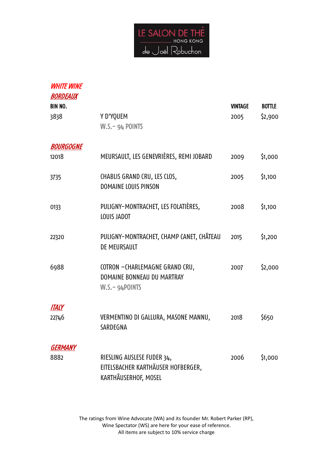

| <i><b>WHITE WINE</b></i><br><b>BORDEAUX</b> |                                                                                          |                |         |
|---------------------------------------------|------------------------------------------------------------------------------------------|----------------|---------|
| <b>BIN NO.</b>                              |                                                                                          | <b>VINTAGE</b> | BOTTLE  |
| 3838                                        | Y D'YQUEM<br>W.S.- 94 POINTS                                                             | 2005           | \$2,900 |
| <b>BOURGOGNE</b>                            |                                                                                          |                |         |
| 12018                                       | MEURSAULT, LES GENEVRIÈRES, REMI JOBARD                                                  | 2009           | \$1,000 |
| 3735                                        | CHABLIS GRAND CRU, LES CLOS,<br>DOMAINE LOUIS PINSON                                     | 2005           | \$1,100 |
| 0133                                        | PULIGNY-MONTRACHET, LES FOLATIÈRES,<br>LOUIS JADOT                                       | 2008           | \$1,100 |
| 22320                                       | PULIGNY-MONTRACHET, CHAMP CANET, CHÂTEAU<br>DE MEURSAULT                                 | 2015           | \$1,200 |
| 6988                                        | COTRON -CHARLEMAGNE GRAND CRU,<br>DOMAINE BONNEAU DU MARTRAY<br>$W.S.-94$ POINTS         | 2007           | \$2,000 |
| ITALY                                       |                                                                                          |                |         |
| 22746                                       | VERMENTINO DI GALLURA, MASONE MANNU,<br>SARDEGNA                                         | 2018           | \$650   |
| GERMANY                                     |                                                                                          |                |         |
| 8882                                        | RIESLING AUSLESE FUDER 34,<br>EITELSBACHER KARTHÄUSER HOFBERGER,<br>KARTHÃUSERHOF, MOSEL | 2006           | \$1,000 |
|                                             |                                                                                          |                |         |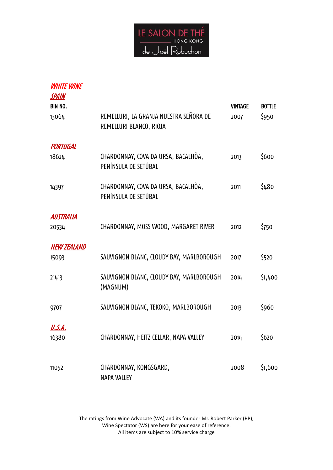

| <b>WHITE WINE</b><br><b>SPAIN</b> |                                                                   |                        |                        |
|-----------------------------------|-------------------------------------------------------------------|------------------------|------------------------|
| BIN NO.<br>13064                  | REMELLURI, LA GRANJA NUESTRA SEÑORA DE<br>REMELLURI BLANCO, RIOJA | <b>VINTAGE</b><br>2007 | <b>BOTTLE</b><br>\$950 |
| PORTUGAL                          |                                                                   |                        |                        |
| 18624                             | CHARDONNAY, COVA DA URSA, BACALHÕA,<br>PENÍNSULA DE SETÚBAL       | 2013                   | \$600                  |
| 14397                             | CHARDONNAY, COVA DA URSA, BACALHÕA,<br>PENÍNSULA DE SETÚBAL       | 2011                   | \$480                  |
| AUSTRALIA                         |                                                                   |                        |                        |
| 20534                             | CHARDONNAY, MOSS WOOD, MARGARET RIVER                             | 2012                   | \$750                  |
| <b>NEW ZEALAND</b>                |                                                                   |                        |                        |
| 15093                             | SAUVIGNON BLANC, CLOUDY BAY, MARLBOROUGH                          | 2017                   | \$520                  |
| 21413                             | SAUVIGNON BLANC, CLOUDY BAY, MARLBOROUGH<br>(MAGNUM)              | 2014                   | \$1,400                |
| 9707                              | SAUVIGNON BLANC, TEKOKO, MARLBOROUGH                              | 2013                   | \$960                  |
| U.S.A.<br>16380                   | CHARDONNAY, HEITZ CELLAR, NAPA VALLEY                             | 2014                   | \$620                  |
|                                   |                                                                   |                        |                        |
| 11052                             | CHARDONNAY, KONGSGARD,<br><b>NAPA VALLEY</b>                      | 2008                   | \$1,600                |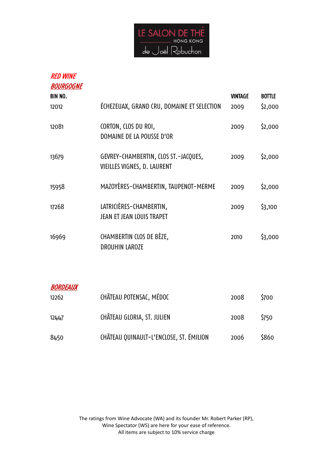

## RED WINE

| <b>BOURGOGNE</b>       |                                                                     |                |               |
|------------------------|---------------------------------------------------------------------|----------------|---------------|
| BIN NO.                |                                                                     | <b>VINTAGE</b> | <b>BOTTLE</b> |
| 12012                  | ÉCHEZEUAX, GRAND CRU, DOMAINE ET SELECTION                          | 2009           | \$2,000       |
| 12081                  | CORTON, CLOS DU ROI,<br>DOMAINE DE LA POUSSE D'OR                   | 2009           | \$2,000       |
| 13679                  | GEVREY-CHAMBERTIN, CLOS ST.-JACQUES,<br>VIEILLES VIGNES, D. LAURENT | 2009           | \$2,000       |
| 15958                  | MAZOYÈRES-CHAMBERTIN, TAUPENOT-MERME                                | 2009           | \$2,000       |
| 17268                  | LATRICIÈRES-CHAMBERTIN,<br>JEAN ET JEAN LOUIS TRAPET                | 2009           | \$3,100       |
| 16969                  | CHAMBERTIN CLOS DE BÈZE,<br><b>DROUHIN LAROZE</b>                   | 2010           | \$3,000       |
| <i><b>BORDEAUX</b></i> |                                                                     |                |               |

| 12262 | CHÂTEAU POTENSAC, MÉDOC                 | 2008 | \$700       |
|-------|-----------------------------------------|------|-------------|
| 12447 | CHÂTEAU GLORIA, ST. JULIEN              | 2008 | <b>S750</b> |
| 8450  | CHÂTEAU QUINAULT-L'ENCLOSE, ST. ÉMILION | 2006 | \$860       |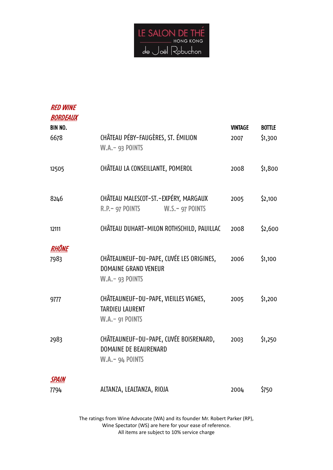

| <b>RED WINE</b><br><b>BORDEAUX</b><br><b>BIN NO.</b> |                                                                                                    | <b>VINTAGE</b> | <b>BOTTLE</b> |
|------------------------------------------------------|----------------------------------------------------------------------------------------------------|----------------|---------------|
| 6678                                                 | CHÂTEAU PÉBY-FAUGÈRES, ST. ÉMILION<br><b>W.A.- 93 POINTS</b>                                       | 2007           | \$1,300       |
| 12505                                                | CHÂTEAU LA CONSEILLANTE, POMEROL                                                                   | 2008           | \$1,800       |
| 8246                                                 | CHÂTEAU MALESCOT-ST.-EXPÉRY, MARGAUX<br>R.P. – 97 POINTS W.S. – 97 POINTS                          | 2005           | \$2,100       |
| 12111                                                | CHÂTEAU DUHART-MILON ROTHSCHILD, PAUILLAC                                                          | 2008           | \$2,600       |
| <b>RHÔNE</b>                                         |                                                                                                    |                |               |
| 7983                                                 | CHÂTEAUNEUF-DU-PAPE, CUVÉE LES ORIGINES,<br><b>DOMAINE GRAND VENEUR</b><br><b>W.A. - 93 POINTS</b> | 2006           | \$1,100       |
| 9777                                                 | CHÂTEAUNEUF-DU-PAPE, VIEILLES VIGNES,<br><b>TARDIEU LAURENT</b><br><b>W.A. - 91 POINTS</b>         | 2005           | \$1,200       |
| 2983                                                 | CHÂTEAUNEUF-DU-PAPE, CUVÉE BOISRENARD,<br><b>DOMAINE DE BEAURENARD</b><br>$W.A.-94$ POINTS         | 2003           | \$1,250       |
| <b>SPAIN</b>                                         |                                                                                                    |                |               |
| 7794                                                 | ALTANZA, LEALTANZA, RIOJA                                                                          | 2004           | \$750         |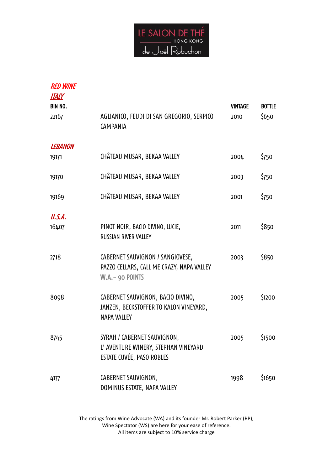

| <b>RED WINE</b><br><b>ITALY</b><br>BIN NO. |                                                                                                   | <b>VINTAGE</b> | <b>BOTTLE</b> |
|--------------------------------------------|---------------------------------------------------------------------------------------------------|----------------|---------------|
| 22167                                      | AGLIANICO, FEUDI DI SAN GREGORIO, SERPICO<br><b>CAMPANIA</b>                                      | 2010           | \$650         |
| <i><b>LEBANON</b></i>                      |                                                                                                   |                |               |
| 19171                                      | CHÂTEAU MUSAR, BEKAA VALLEY                                                                       | 2004           | \$750         |
| 19170                                      | CHÂTEAU MUSAR, BEKAA VALLEY                                                                       | 2003           | \$750         |
| 19169                                      | CHÂTEAU MUSAR, BEKAA VALLEY                                                                       | 2001           | \$750         |
| <u>U.S.A.</u>                              |                                                                                                   |                |               |
| 16407                                      | PINOT NOIR, BACIO DIVINO, LUCIE,<br><b>RUSSIAN RIVER VALLEY</b>                                   | 2011           | \$850         |
| 2718                                       | CABERNET SAUVIGNON / SANGIOVESE,<br>PAZZO CELLARS, CALL ME CRAZY, NAPA VALLEY<br>W.A. - 90 POINTS | 2003           | \$850         |
| 8098                                       | CABERNET SAUVIGNON, BACIO DIVINO,<br>JANZEN, BECKSTOFFER TO KALON VINEYARD,<br><b>NAPA VALLEY</b> | 2005           | \$1200        |
| 8745                                       | SYRAH / CABERNET SAUVIGNON,<br>L' AVENTURE WINERY, STEPHAN VINEYARD<br>ESTATE CUVÉE, PASO ROBLES  | 2005           | \$1500        |
| 4177                                       | CABERNET SAUVIGNON,<br>DOMINUS ESTATE, NAPA VALLEY                                                | 1998           | \$1650        |